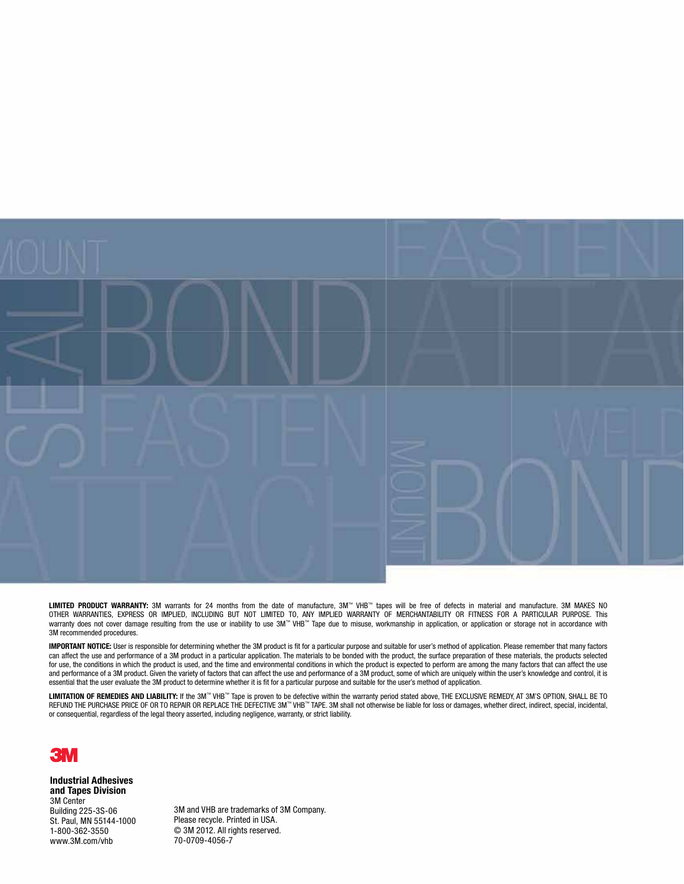

**LIMITED PRODUCT WARRANTY:** 3M warrants for 24 months from the date of manufacture, 3M™ VHB™ tapes will be free of defects in material and manufacture. 3M MAKES NO<br>OTHER WARRANTIES, EXPRESS OR IMPLIED, INCLUDING BUT NOT L 3M recommended procedures.

**Important notice:** User is responsible for determining whether the 3M product is fit for a particular purpose and suitable for user's method of application. Please remember that many factors can affect the use and performance of a 3M product in a particular application. The materials to be bonded with the product, the surface preparation of these materials, the products selected For use, the conditions in which the product is used, and the time and environmental conditions in which the product is expected to perform are among the many factors that can affect the use and performance of a 3M product. Given the variety of factors that can affect the use and performance of a 3M product, some of which are uniquely within the user's knowledge and control, it is essential that the user evaluate the 3M product to determine whether it is fit for a particular purpose and suitable for the user's method of application.

**Limitation of Remedies and Liability:** If the 3M™ VHB™ Tape is proven to be defective within the warranty period stated above, THE EXCLUSIVE REMEDY, AT 3M'S OPTION, SHALL BE TO REFUND THE PURCHASE PRICE OF OR TO REPAIR OR REPLACE THE DEFECTIVE 3M™ VHB™ TAPE. 3M shall not otherwise be liable for loss or damages, whether direct, indirect, special, incidental, or consequential, regardless of the legal theory asserted, including negligence, warranty, or strict liability.



**Industrial Adhesives and Tapes Division** 3M Center Building 225-3S-06 St. Paul, MN 55144-1000 1-800-362-3550 www.3M.com/vhb

3M and VHB are trademarks of 3M Company. Please recycle. Printed in USA. © 3M 2012. All rights reserved. 70-0709-4056-7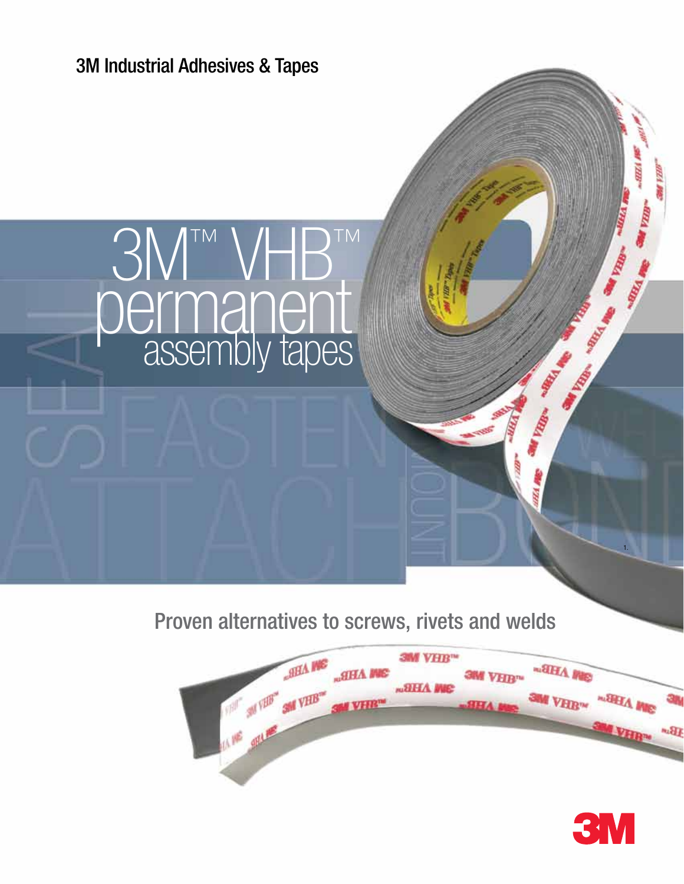

Proven alternatives to screws, rivets and welds



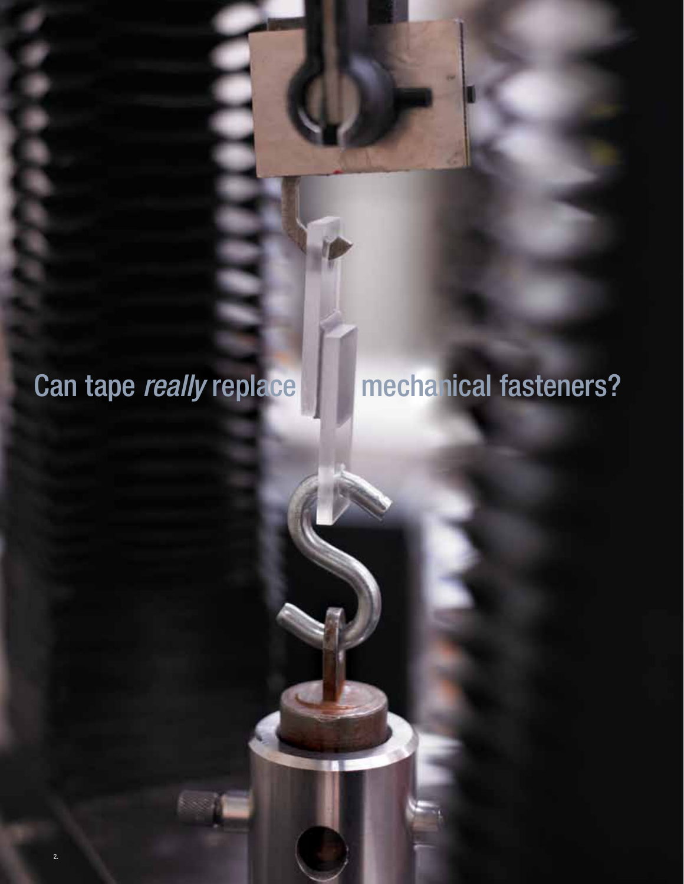### Can tape *really* replace **mechanical fasteners?**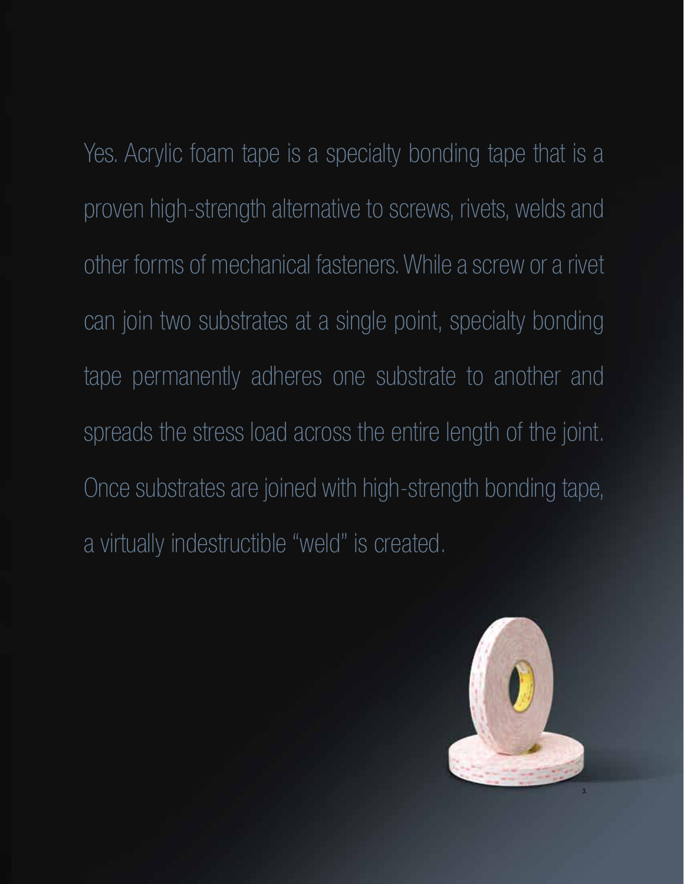Yes. Acrylic foam tape is a specialty bonding tape that is a proven high-strength alternative to screws, rivets, welds and other forms of mechanical fasteners. While a screw or a rivet can join two substrates at a single point, specialty bonding tape permanently adheres one substrate to another and spreads the stress load across the entire length of the joint. Once substrates are joined with high-strength bonding tape, a virtually indestructible "weld" is created.

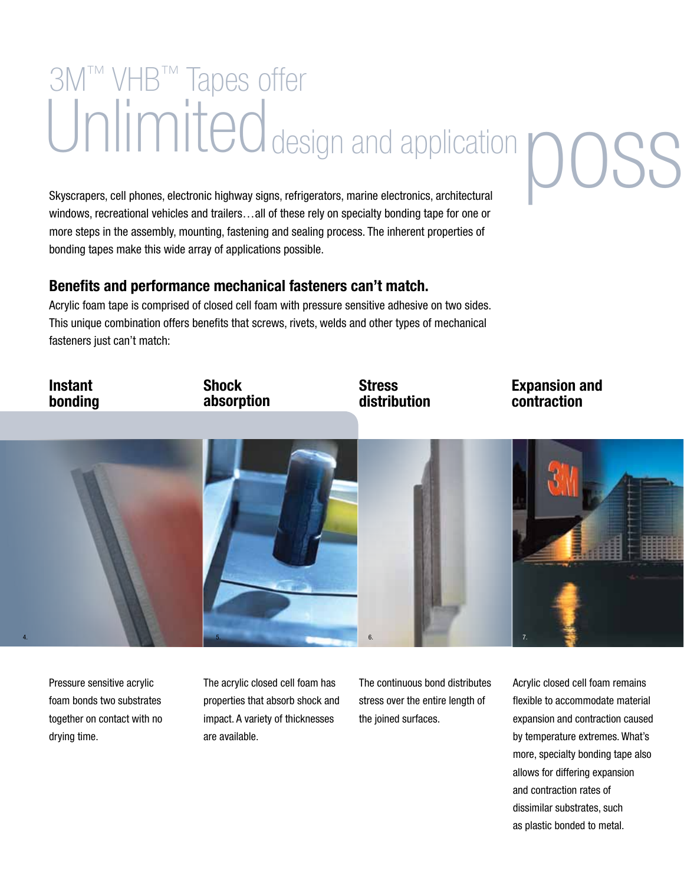## Unlimiteddesign and application posses all phones, electronic highway signs, refrigerators, marine electronics, architectural 3M™ VHB™ Tapes offer

Skyscrapers, cell phones, electronic highway signs, refrigerators, marine electronics, architectural windows, recreational vehicles and trailers… all of these rely on specialty bonding tape for one or more steps in the assembly, mounting, fastening and sealing process. The inherent properties of bonding tapes make this wide array of applications possible.

#### **Benefits and performance mechanical fasteners can't match.**

Acrylic foam tape is comprised of closed cell foam with pressure sensitive adhesive on two sides. This unique combination offers benefits that screws, rivets, welds and other types of mechanical fasteners just can't match:



Pressure sensitive acrylic foam bonds two substrates together on contact with no drying time.

The acrylic closed cell foam has properties that absorb shock and impact. A variety of thicknesses are available.

The continuous bond distributes stress over the entire length of the joined surfaces.

Acrylic closed cell foam remains flexible to accommodate material expansion and contraction caused by temperature extremes. What's more, specialty bonding tape also allows for differing expansion and contraction rates of dissimilar substrates, such as plastic bonded to metal.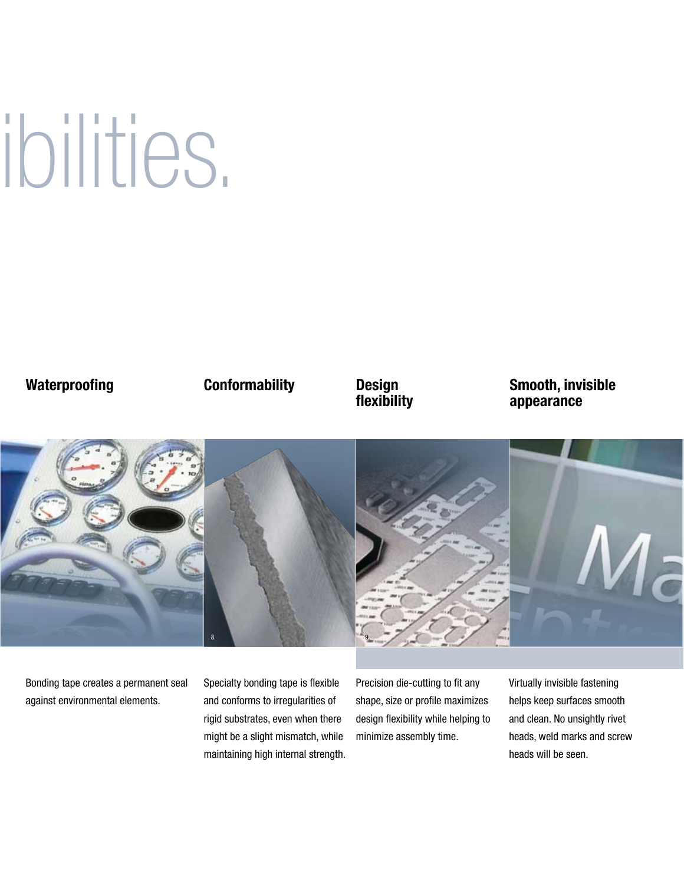# ibilities.

#### **Waterproofing**

#### **Conformability**

#### **Design flexibility**

#### **Smooth, invisible appearance**



Bonding tape creates a permanent seal against environmental elements.

Specialty bonding tape is flexible and conforms to irregularities of rigid substrates, even when there might be a slight mismatch, while maintaining high internal strength. Precision die-cutting to fit any shape, size or profile maximizes design flexibility while helping to minimize assembly time.

Virtually invisible fastening helps keep surfaces smooth and clean. No unsightly rivet heads, weld marks and screw heads will be seen.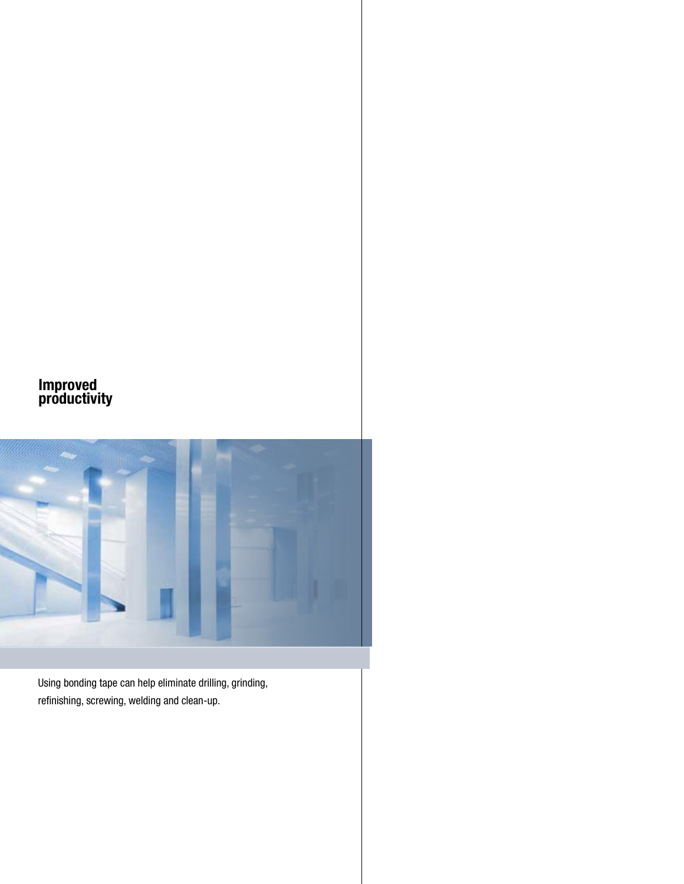#### **Improved productivity**



Using bonding tape can help eliminate drilling, grinding, refinishing, screwing, welding and clean-up.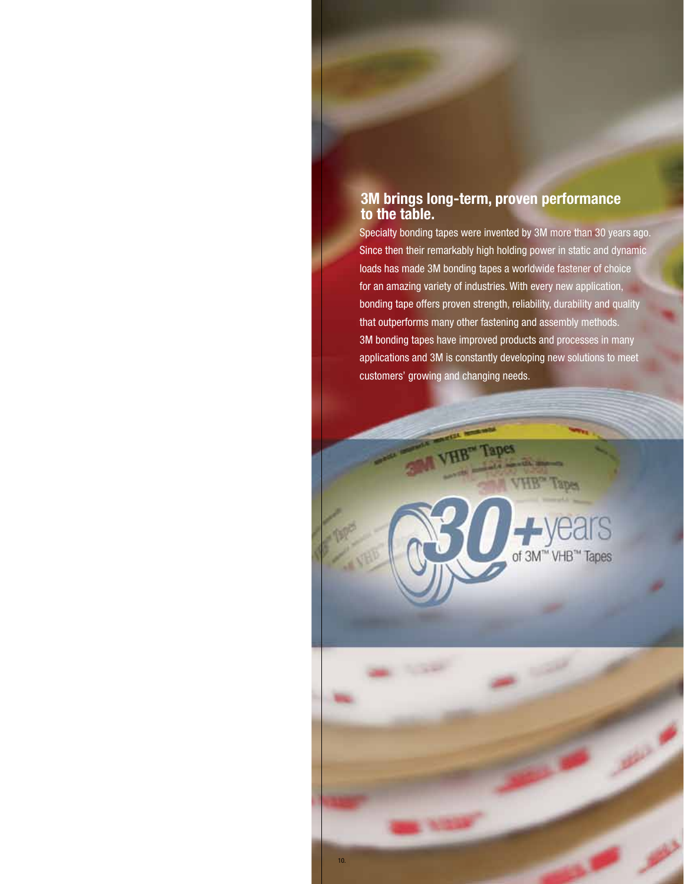#### **3M brings long-term, proven performance to the table.**

Specialty bonding tapes were invented by 3M more than 30 years ago. Since then their remarkably high holding power in static and dynamic loads has made 3M bonding tapes a worldwide fastener of choice for an amazing variety of industries. With every new application, bonding tape offers proven strength, reliability, durability and quality that outperforms many other fastening and assembly methods. 3M bonding tapes have improved products and processes in many applications and 3M is constantly developing new solutions to meet customers' growing and changing needs.

rs

" VHB™ Tapes

of 3M

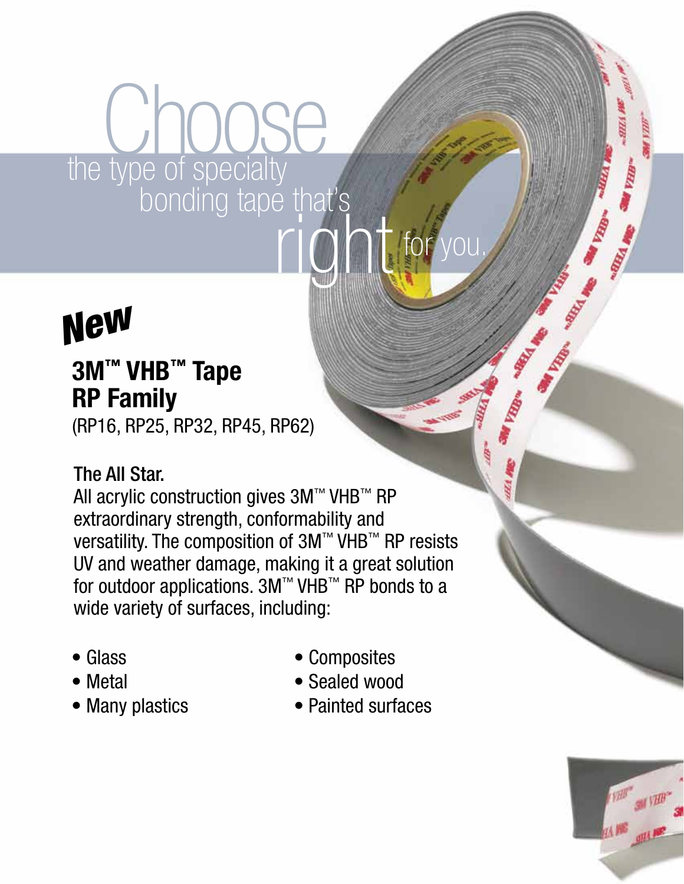## the type of specialty **bonding tape that's OOSE** right for you.

## *New*

#### **3M™ VHB™ Tape RP Family**

(RP16, RP25, RP32, RP45, RP62)

#### The All Star.

All acrylic construction gives 3M™ VHB™ RP extraordinary strength, conformability and versatility. The composition of 3M™ VHB™ RP resists UV and weather damage, making it a great solution for outdoor applications. 3M™ VHB™ RP bonds to a wide variety of surfaces, including:

- Glass
- Metal
- Many plastics
- Composites
- Sealed wood
- Painted surfaces



**SURFACE**